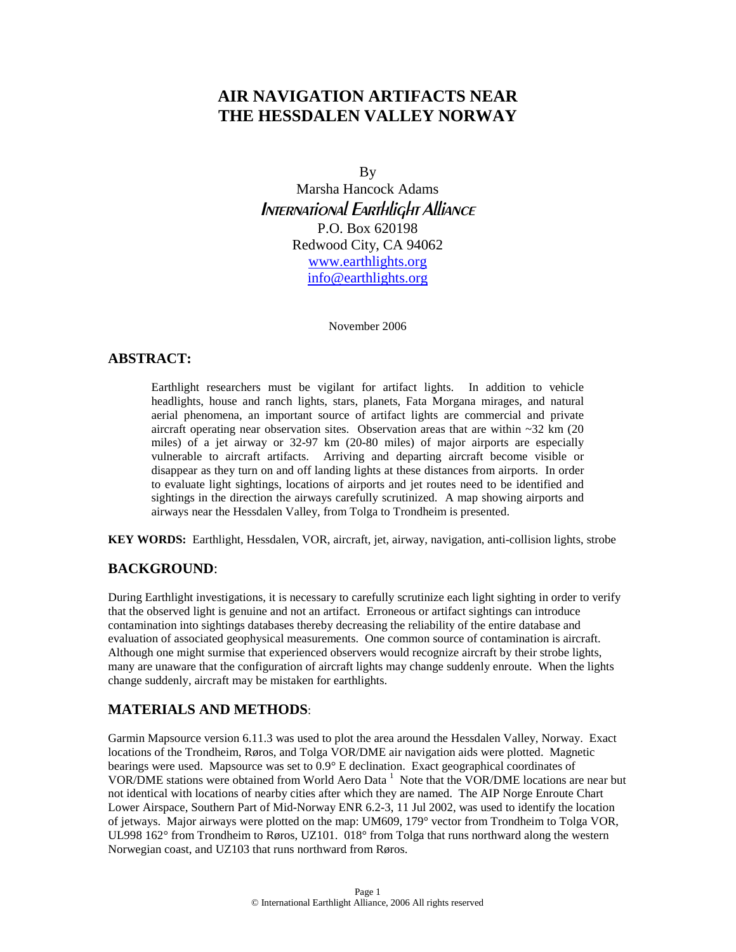# **AIR NAVIGATION ARTIFACTS NEAR THE HESSDALEN VALLEY NORWAY**

By

Marsha Hancock Adams International Earthlight Alliance P.O. Box 620198 Redwood City, CA 94062 [www.earthlights.org](http://www.earthlights.org/) [info@earthlights.org](mailto:info@earthlights.org)

November 2006

## **ABSTRACT:**

Earthlight researchers must be vigilant for artifact lights. In addition to vehicle headlights, house and ranch lights, stars, planets, Fata Morgana mirages, and natural aerial phenomena, an important source of artifact lights are commercial and private aircraft operating near observation sites. Observation areas that are within ~32 km (20 miles) of a jet airway or 32-97 km (20-80 miles) of major airports are especially vulnerable to aircraft artifacts. Arriving and departing aircraft become visible or disappear as they turn on and off landing lights at these distances from airports. In order to evaluate light sightings, locations of airports and jet routes need to be identified and sightings in the direction the airways carefully scrutinized. A map showing airports and airways near the Hessdalen Valley, from Tolga to Trondheim is presented.

**KEY WORDS:** Earthlight, Hessdalen, VOR, aircraft, jet, airway, navigation, anti-collision lights, strobe

## **BACKGROUND**:

During Earthlight investigations, it is necessary to carefully scrutinize each light sighting in order to verify that the observed light is genuine and not an artifact. Erroneous or artifact sightings can introduce contamination into sightings databases thereby decreasing the reliability of the entire database and evaluation of associated geophysical measurements. One common source of contamination is aircraft. Although one might surmise that experienced observers would recognize aircraft by their strobe lights, many are unaware that the configuration of aircraft lights may change suddenly enroute. When the lights change suddenly, aircraft may be mistaken for earthlights.

### **MATERIALS AND METHODS**:

Garmin Mapsource version 6.11.3 was used to plot the area around the Hessdalen Valley, Norway. Exact locations of the Trondheim, Røros, and Tolga VOR/DME air navigation aids were plotted. Magnetic bearings were used. Mapsource was set to 0.9° E declination. Exact geographical coordinates of VOR/DMEstations were obtained from World Aero Data<sup>1</sup> Note that the VOR/DME locations are near but not identical with locations of nearby cities after which they are named. The AIP Norge Enroute Chart Lower Airspace, Southern Part of Mid-Norway ENR 6.2-3, 11 Jul 2002, was used to identify the location of jetways. Major airways were plotted on the map: UM609, 179° vector from Trondheim to Tolga VOR, UL998 162° from Trondheim to Røros, UZ101. 018° from Tolga that runs northward along the western Norwegian coast, and UZ103 that runs northward from Røros.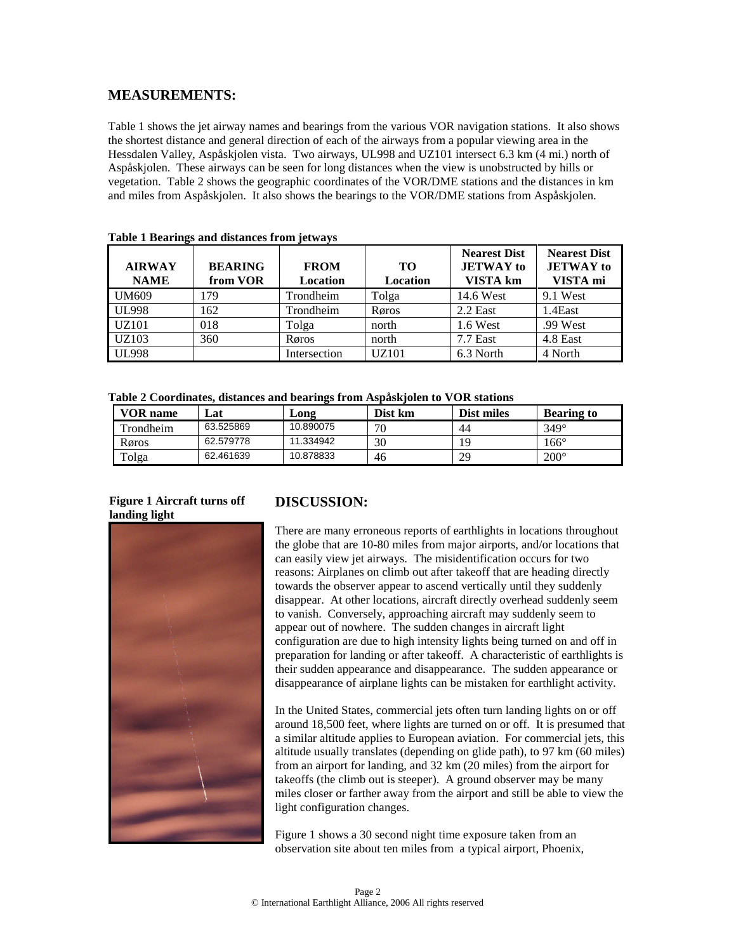## **MEASUREMENTS:**

Table 1 shows the jet airway names and bearings from the various VOR navigation stations. It also shows the shortest distance and general direction of each of the airways from a popular viewing area in the Hessdalen Valley, Aspåskjolen vista. Two airways, UL998 and UZ101 intersect 6.3 km (4 mi.) north of Aspåskjolen. These airways can be seen for long distances when the view is unobstructed by hills or vegetation. Table 2 shows the geographic coordinates of the VOR/DME stations and the distances in km and miles from Aspåskjolen. It also shows the bearings to the VOR/DME stations from Aspåskjolen.

| <b>AIRWAY</b><br><b>NAME</b> | <b>BEARING</b><br>from VOR | <b>FROM</b><br><b>Location</b> | TО<br><b>Location</b> | <b>Nearest Dist</b><br><b>JETWAY</b> to<br>VISTA km | <b>Nearest Dist</b><br><b>JETWAY</b> to<br>VISTA mi |
|------------------------------|----------------------------|--------------------------------|-----------------------|-----------------------------------------------------|-----------------------------------------------------|
| <b>UM609</b>                 | 179                        | Trondheim                      | Tolga                 | 14.6 West                                           | 9.1 West                                            |
| <b>UL998</b>                 | 162                        | Trondheim                      | Røros                 | $2.2$ East                                          | 1.4East                                             |
| UZ101                        | 018                        | Tolga                          | north                 | 1.6 West                                            | .99 West                                            |
| UZ103                        | 360                        | Røros                          | north                 | $7.7$ East                                          | 4.8 East                                            |
| <b>UL998</b>                 |                            | Intersection                   | <b>UZ101</b>          | 6.3 North                                           | 4 North                                             |

|  |  | Table 1 Bearings and distances from jetways |  |
|--|--|---------------------------------------------|--|
|  |  |                                             |  |

**Table 2 Coordinates, distances and bearings from Aspåskjolen to VOR stations**

| VOR name  | Lat       | $\mathbf{\sim}$ ong | Dist km | Dist miles | <b>Bearing to</b> |
|-----------|-----------|---------------------|---------|------------|-------------------|
| Trondheim | 63.525869 | 10.890075           | 70      | 44         | $349^\circ$       |
| Røros     | 62.579778 | 11.334942           | 30      | 19         | 166°              |
| Tolga     | 62.461639 | 10.878833           | 46      | 29         | $200^\circ$       |

### **Figure 1 Aircraft turns off landing light**



## **DISCUSSION:**

There are many erroneous reports of earthlights in locations throughout the globe that are 10-80 miles from major airports, and/or locations that can easily view jet airways. The misidentification occurs for two reasons: Airplanes on climb out after takeoff that are heading directly towards the observer appear to ascend vertically until they suddenly disappear. At other locations, aircraft directly overhead suddenly seem to vanish. Conversely, approaching aircraft may suddenly seem to appear out of nowhere. The sudden changes in aircraft light configuration are due to high intensity lights being turned on and off in preparation for landing or after takeoff. A characteristic of earthlights is their sudden appearance and disappearance. The sudden appearance or disappearance of airplane lights can be mistaken for earthlight activity.

In the United States, commercial jets often turn landing lights on or off around 18,500 feet, where lights are turned on or off. It is presumed that a similar altitude applies to European aviation. For commercial jets, this altitude usually translates (depending on glide path), to 97 km (60 miles) from an airport for landing, and 32 km (20 miles) from the airport for takeoffs (the climb out is steeper). A ground observer may be many miles closer or farther away from the airport and still be able to view the light configuration changes.

Figure 1 shows a 30 second night time exposure taken from an observation site about ten miles from a typical airport, Phoenix,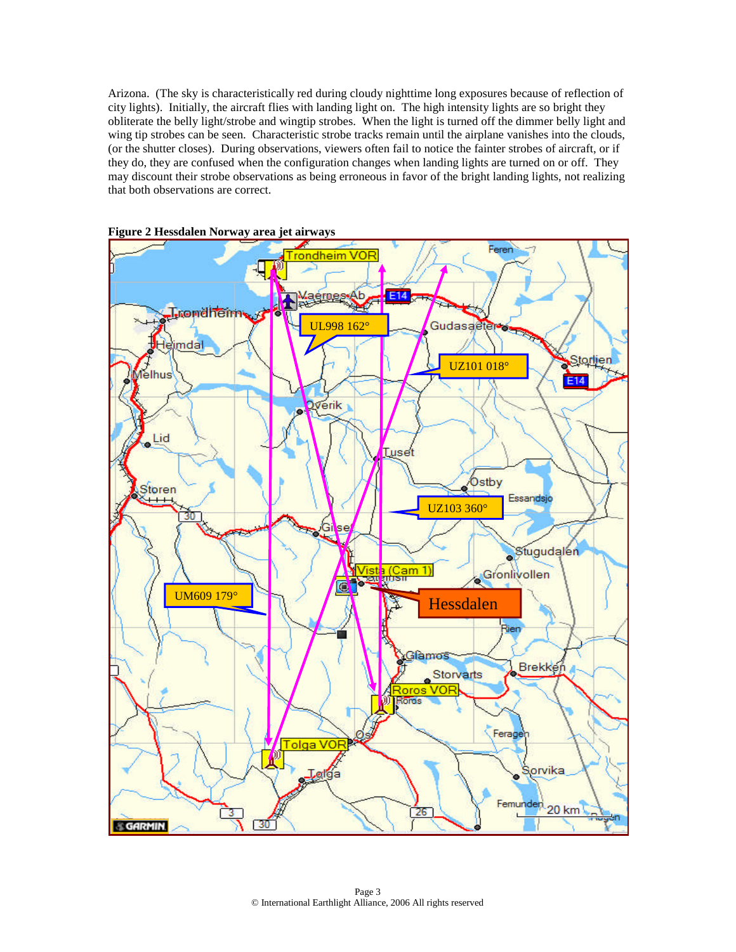Arizona. (The sky is characteristically red during cloudy nighttime long exposures because of reflection of city lights). Initially, the aircraft flies with landing light on. The high intensity lights are so bright they obliterate the belly light/strobe and wingtip strobes. When the light is turned off the dimmer belly light and wing tip strobes can be seen. Characteristic strobe tracks remain until the airplane vanishes into the clouds, (or the shutter closes). During observations, viewers often fail to notice the fainter strobes of aircraft, or if they do, they are confused when the configuration changes when landing lights are turned on or off. They may discount their strobe observations as being erroneous in favor of the bright landing lights, not realizing that both observations are correct.



**Figure 2 Hessdalen Norway area jet airways**